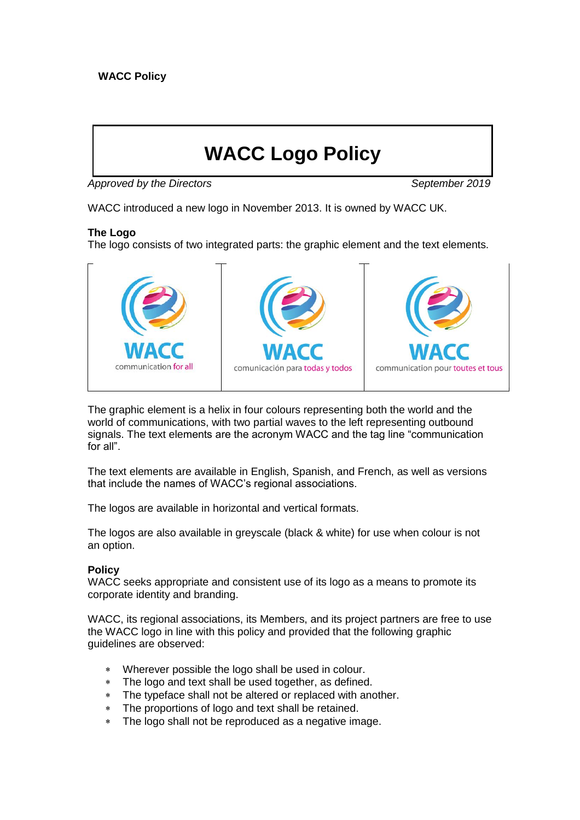# **WACC Logo Policy**

Approved by the Directors **September 2019** 

WACC introduced a new logo in November 2013. It is owned by WACC UK.

# **The Logo**

The logo consists of two integrated parts: the graphic element and the text elements.



The graphic element is a helix in four colours representing both the world and the world of communications, with two partial waves to the left representing outbound signals. The text elements are the acronym WACC and the tag line "communication for all".

The text elements are available in English, Spanish, and French, as well as versions that include the names of WACC's regional associations.

The logos are available in horizontal and vertical formats.

The logos are also available in greyscale (black & white) for use when colour is not an option.

# **Policy**

WACC seeks appropriate and consistent use of its logo as a means to promote its corporate identity and branding.

WACC, its regional associations, its Members, and its project partners are free to use the WACC logo in line with this policy and provided that the following graphic guidelines are observed:

- Wherever possible the logo shall be used in colour.
- The logo and text shall be used together, as defined.
- The typeface shall not be altered or replaced with another.
- The proportions of logo and text shall be retained.
- The logo shall not be reproduced as a negative image.